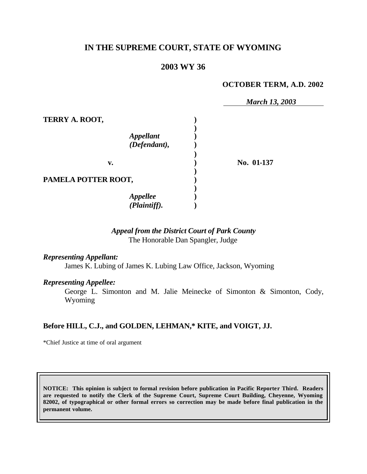# **IN THE SUPREME COURT, STATE OF WYOMING**

# **2003 WY 36**

#### **OCTOBER TERM, A.D. 2002**

|                     | <b>March 13, 2003</b> |
|---------------------|-----------------------|
| TERRY A. ROOT,      |                       |
|                     |                       |
| <b>Appellant</b>    |                       |
| (Defendant),        |                       |
|                     |                       |
| v.                  | No. 01-137            |
| PAMELA POTTER ROOT, |                       |
|                     |                       |
| <b>Appellee</b>     |                       |
| (Plaintiff).        |                       |

# *Appeal from the District Court of Park County* The Honorable Dan Spangler, Judge

## *Representing Appellant:*

James K. Lubing of James K. Lubing Law Office, Jackson, Wyoming

#### *Representing Appellee:*

George L. Simonton and M. Jalie Meinecke of Simonton & Simonton, Cody, Wyoming

### **Before HILL, C.J., and GOLDEN, LEHMAN,\* KITE, and VOIGT, JJ.**

\*Chief Justice at time of oral argument

**NOTICE: This opinion is subject to formal revision before publication in Pacific Reporter Third. Readers are requested to notify the Clerk of the Supreme Court, Supreme Court Building, Cheyenne, Wyoming 82002, of typographical or other formal errors so correction may be made before final publication in the permanent volume.**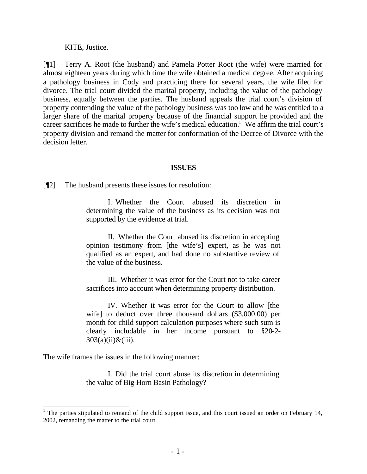KITE, Justice.

[¶1] Terry A. Root (the husband) and Pamela Potter Root (the wife) were married for almost eighteen years during which time the wife obtained a medical degree. After acquiring a pathology business in Cody and practicing there for several years, the wife filed for divorce. The trial court divided the marital property, including the value of the pathology business, equally between the parties. The husband appeals the trial court's division of property contending the value of the pathology business was too low and he was entitled to a larger share of the marital property because of the financial support he provided and the career sacrifices he made to further the wife's medical education.<sup>1</sup> We affirm the trial court's property division and remand the matter for conformation of the Decree of Divorce with the decision letter.

#### **ISSUES**

[¶2] The husband presents these issues for resolution:

I. Whether the Court abused its discretion in determining the value of the business as its decision was not supported by the evidence at trial.

II. Whether the Court abused its discretion in accepting opinion testimony from [the wife's] expert, as he was not qualified as an expert, and had done no substantive review of the value of the business.

III. Whether it was error for the Court not to take career sacrifices into account when determining property distribution.

IV. Whether it was error for the Court to allow [the wife] to deduct over three thousand dollars (\$3,000.00) per month for child support calculation purposes where such sum is clearly includable in her income pursuant to §20-2-  $303(a)(ii) \& (iii)$ .

The wife frames the issues in the following manner:

I. Did the trial court abuse its discretion in determining the value of Big Horn Basin Pathology?

<sup>&</sup>lt;sup>1</sup> The parties stipulated to remand of the child support issue, and this court issued an order on February 14, 2002, remanding the matter to the trial court.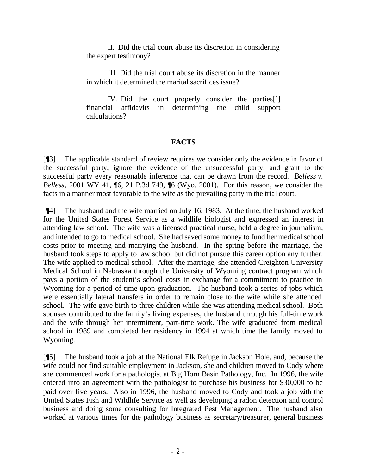II. Did the trial court abuse its discretion in considering the expert testimony?

III Did the trial court abuse its discretion in the manner in which it determined the marital sacrifices issue?

IV. Did the court properly consider the parties['] financial affidavits in determining the child support calculations?

# **FACTS**

[¶3] The applicable standard of review requires we consider only the evidence in favor of the successful party, ignore the evidence of the unsuccessful party, and grant to the successful party every reasonable inference that can be drawn from the record. *Belless v. Belless*, 2001 WY 41, ¶6, 21 P.3d 749, ¶6 (Wyo. 2001). For this reason, we consider the facts in a manner most favorable to the wife as the prevailing party in the trial court.

[¶4] The husband and the wife married on July 16, 1983. At the time, the husband worked for the United States Forest Service as a wildlife biologist and expressed an interest in attending law school. The wife was a licensed practical nurse, held a degree in journalism, and intended to go to medical school. She had saved some money to fund her medical school costs prior to meeting and marrying the husband. In the spring before the marriage, the husband took steps to apply to law school but did not pursue this career option any further. The wife applied to medical school. After the marriage, she attended Creighton University Medical School in Nebraska through the University of Wyoming contract program which pays a portion of the student's school costs in exchange for a commitment to practice in Wyoming for a period of time upon graduation. The husband took a series of jobs which were essentially lateral transfers in order to remain close to the wife while she attended school. The wife gave birth to three children while she was attending medical school. Both spouses contributed to the family's living expenses, the husband through his full-time work and the wife through her intermittent, part-time work. The wife graduated from medical school in 1989 and completed her residency in 1994 at which time the family moved to Wyoming.

[¶5] The husband took a job at the National Elk Refuge in Jackson Hole, and, because the wife could not find suitable employment in Jackson, she and children moved to Cody where she commenced work for a pathologist at Big Horn Basin Pathology, Inc. In 1996, the wife entered into an agreement with the pathologist to purchase his business for \$30,000 to be paid over five years. Also in 1996, the husband moved to Cody and took a job with the United States Fish and Wildlife Service as well as developing a radon detection and control business and doing some consulting for Integrated Pest Management. The husband also worked at various times for the pathology business as secretary/treasurer, general business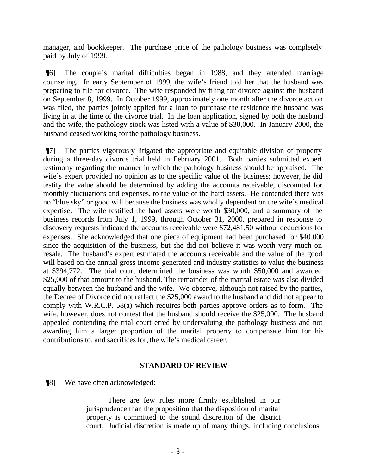manager, and bookkeeper. The purchase price of the pathology business was completely paid by July of 1999.

[¶6] The couple's marital difficulties began in 1988, and they attended marriage counseling. In early September of 1999, the wife's friend told her that the husband was preparing to file for divorce. The wife responded by filing for divorce against the husband on September 8, 1999. In October 1999, approximately one month after the divorce action was filed, the parties jointly applied for a loan to purchase the residence the husband was living in at the time of the divorce trial. In the loan application, signed by both the husband and the wife, the pathology stock was listed with a value of \$30,000. In January 2000, the husband ceased working for the pathology business.

[¶7] The parties vigorously litigated the appropriate and equitable division of property during a three-day divorce trial held in February 2001. Both parties submitted expert testimony regarding the manner in which the pathology business should be appraised. The wife's expert provided no opinion as to the specific value of the business; however, he did testify the value should be determined by adding the accounts receivable, discounted for monthly fluctuations and expenses, to the value of the hard assets. He contended there was no "blue sky" or good will because the business was wholly dependent on the wife's medical expertise. The wife testified the hard assets were worth \$30,000, and a summary of the business records from July 1, 1999, through October 31, 2000, prepared in response to discovery requests indicated the accounts receivable were \$72,481.50 without deductions for expenses. She acknowledged that one piece of equipment had been purchased for \$40,000 since the acquisition of the business, but she did not believe it was worth very much on resale. The husband's expert estimated the accounts receivable and the value of the good will based on the annual gross income generated and industry statistics to value the business at \$394,772. The trial court determined the business was worth \$50,000 and awarded \$25,000 of that amount to the husband. The remainder of the marital estate was also divided equally between the husband and the wife. We observe, although not raised by the parties, the Decree of Divorce did not reflect the \$25,000 award to the husband and did not appear to comply with W.R.C.P. 58(a) which requires both parties approve orders as to form. The wife, however, does not contest that the husband should receive the \$25,000. The husband appealed contending the trial court erred by undervaluing the pathology business and not awarding him a larger proportion of the marital property to compensate him for his contributions to, and sacrifices for, the wife's medical career.

### **STANDARD OF REVIEW**

[¶8] We have often acknowledged:

There are few rules more firmly established in our jurisprudence than the proposition that the disposition of marital property is committed to the sound discretion of the district court. Judicial discretion is made up of many things, including conclusions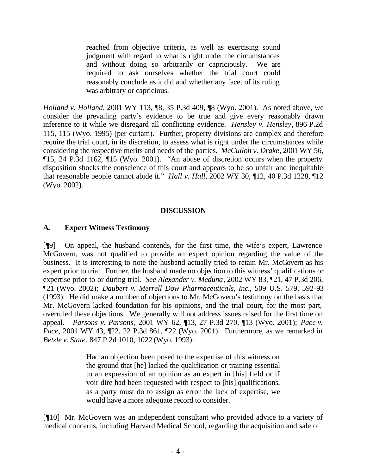reached from objective criteria, as well as exercising sound judgment with regard to what is right under the circumstances and without doing so arbitrarily or capriciously. We are required to ask ourselves whether the trial court could reasonably conclude as it did and whether any facet of its ruling was arbitrary or capricious.

*Holland v. Holland*, 2001 WY 113, ¶8, 35 P.3d 409, ¶8 (Wyo. 2001). As noted above, we consider the prevailing party's evidence to be true and give every reasonably drawn inference to it while we disregard all conflicting evidence. *Hensley v. Hensley*, 896 P.2d 115, 115 (Wyo. 1995) (per curiam). Further, property divisions are complex and therefore require the trial court, in its discretion, to assess what is right under the circumstances while considering the respective merits and needs of the parties. *McCulloh v. Drake*, 2001 WY 56, ¶15, 24 P.3d 1162, ¶15 (Wyo. 2001). "An abuse of discretion occurs when the property disposition shocks the conscience of this court and appears to be so unfair and inequitable that reasonable people cannot abide it." *Hall v. Hall*, 2002 WY 30, ¶12, 40 P.3d 1228, ¶12 (Wyo. 2002).

## **DISCUSSION**

## **A. Expert Witness Testimony**

[¶9] On appeal, the husband contends, for the first time, the wife's expert, Lawrence McGovern, was not qualified to provide an expert opinion regarding the value of the business. It is interesting to note the husband actually tried to retain Mr. McGovern as his expert prior to trial. Further, the husband made no objection to this witness' qualifications or expertise prior to or during trial. *See Alexander v. Meduna*, 2002 WY 83, ¶21, 47 P.3d 206, ¶21 (Wyo. 2002); *Daubert v. Merrell Dow Pharmaceuticals, Inc.,* 509 U.S. 579, 592-93 (1993). He did make a number of objections to Mr. McGovern's testimony on the basis that Mr. McGovern lacked foundation for his opinions, and the trial court, for the most part, overruled these objections. We generally will not address issues raised for the first time on appeal. *Parsons v. Parsons*, 2001 WY 62, ¶13, 27 P.3d 270, ¶13 (Wyo. 2001); *Pace v. Pace*, 2001 WY 43, 122, 22 P.3d 861, 122 (Wyo. 2001). Furthermore, as we remarked in *Betzle v. State*, 847 P.2d 1010, 1022 (Wyo. 1993):

> Had an objection been posed to the expertise of this witness on the ground that [he] lacked the qualification or training essential to an expression of an opinion as an expert in [his] field or if voir dire had been requested with respect to [his] qualifications, as a party must do to assign as error the lack of expertise, we would have a more adequate record to consider.

[¶10] Mr. McGovern was an independent consultant who provided advice to a variety of medical concerns, including Harvard Medical School, regarding the acquisition and sale of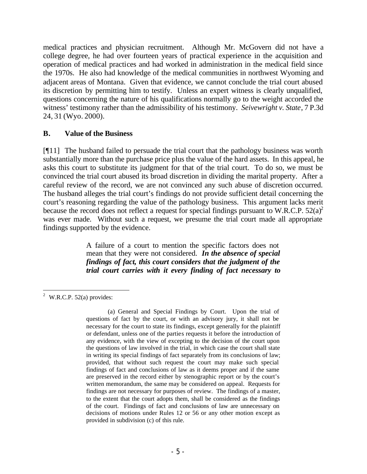medical practices and physician recruitment. Although Mr. McGovern did not have a college degree, he had over fourteen years of practical experience in the acquisition and operation of medical practices and had worked in administration in the medical field since the 1970s. He also had knowledge of the medical communities in northwest Wyoming and adjacent areas of Montana. Given that evidence, we cannot conclude the trial court abused its discretion by permitting him to testify. Unless an expert witness is clearly unqualified, questions concerning the nature of his qualifications normally go to the weight accorded the witness' testimony rather than the admissibility of his testimony. *Seivewright v. State*, 7 P.3d 24, 31 (Wyo. 2000).

### **B. Value of the Business**

[¶11] The husband failed to persuade the trial court that the pathology business was worth substantially more than the purchase price plus the value of the hard assets. In this appeal, he asks this court to substitute its judgment for that of the trial court. To do so, we must be convinced the trial court abused its broad discretion in dividing the marital property. After a careful review of the record, we are not convinced any such abuse of discretion occurred. The husband alleges the trial court's findings do not provide sufficient detail concerning the court's reasoning regarding the value of the pathology business. This argument lacks merit because the record does not reflect a request for special findings pursuant to W.R.C.P.  $52(a)^2$ was ever made. Without such a request, we presume the trial court made all appropriate findings supported by the evidence.

> A failure of a court to mention the specific factors does not mean that they were not considered. *In the absence of special findings of fact, this court considers that the judgment of the trial court carries with it every finding of fact necessary to*

 <sup>2</sup> W.R.C.P. 52(a) provides:

<sup>(</sup>a) General and Special Findings by Court. Upon the trial of questions of fact by the court, or with an advisory jury, it shall not be necessary for the court to state its findings, except generally for the plaintiff or defendant, unless one of the parties requests it before the introduction of any evidence, with the view of excepting to the decision of the court upon the questions of law involved in the trial, in which case the court shall state in writing its special findings of fact separately from its conclusions of law; provided, that without such request the court may make such special findings of fact and conclusions of law as it deems proper and if the same are preserved in the record either by stenographic report or by the court's written memorandum, the same may be considered on appeal. Requests for findings are not necessary for purposes of review. The findings of a master, to the extent that the court adopts them, shall be considered as the findings of the court. Findings of fact and conclusions of law are unnecessary on decisions of motions under Rules 12 or 56 or any other motion except as provided in subdivision (c) of this rule.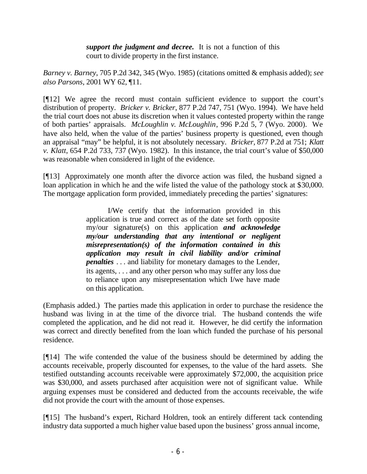*support the judgment and decree.* It is not a function of this court to divide property in the first instance.

*Barney v. Barney*, 705 P.2d 342, 345 (Wyo. 1985) (citations omitted & emphasis added); *see also Parsons*, 2001 WY 62, ¶11.

[¶12] We agree the record must contain sufficient evidence to support the court's distribution of property. *Bricker v. Bricker*, 877 P.2d 747, 751 (Wyo. 1994). We have held the trial court does not abuse its discretion when it values contested property within the range of both parties' appraisals. *McLoughlin v. McLoughlin*, 996 P.2d 5, 7 (Wyo. 2000). We have also held, when the value of the parties' business property is questioned, even though an appraisal "may" be helpful, it is not absolutely necessary. *Bricker,* 877 P.2d at 751; *Klatt v. Klatt*, 654 P.2d 733, 737 (Wyo. 1982). In this instance, the trial court's value of \$50,000 was reasonable when considered in light of the evidence.

[¶13] Approximately one month after the divorce action was filed, the husband signed a loan application in which he and the wife listed the value of the pathology stock at \$30,000. The mortgage application form provided, immediately preceding the parties' signatures:

> I/We certify that the information provided in this application is true and correct as of the date set forth opposite my/our signature(s) on this application *and acknowledge my/our understanding that any intentional or negligent misrepresentation(s) of the information contained in this application may result in civil liability and/or criminal penalties* . . . and liability for monetary damages to the Lender, its agents, . . . and any other person who may suffer any loss due to reliance upon any misrepresentation which I/we have made on this application.

(Emphasis added.) The parties made this application in order to purchase the residence the husband was living in at the time of the divorce trial. The husband contends the wife completed the application, and he did not read it. However, he did certify the information was correct and directly benefited from the loan which funded the purchase of his personal residence.

[¶14] The wife contended the value of the business should be determined by adding the accounts receivable, properly discounted for expenses, to the value of the hard assets. She testified outstanding accounts receivable were approximately \$72,000, the acquisition price was \$30,000, and assets purchased after acquisition were not of significant value. While arguing expenses must be considered and deducted from the accounts receivable, the wife did not provide the court with the amount of those expenses.

[¶15] The husband's expert, Richard Holdren, took an entirely different tack contending industry data supported a much higher value based upon the business' gross annual income,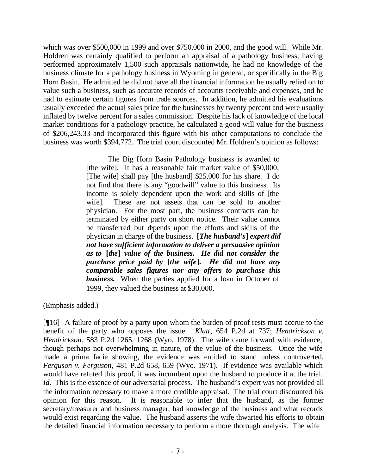which was over \$500,000 in 1999 and over \$750,000 in 2000, and the good will. While Mr. Holdren was certainly qualified to perform an appraisal of a pathology business, having performed approximately 1,500 such appraisals nationwide, he had no knowledge of the business climate for a pathology business in Wyoming in general, or specifically in the Big Horn Basin. He admitted he did not have all the financial information he usually relied on to value such a business, such as accurate records of accounts receivable and expenses, and he had to estimate certain figures from trade sources. In addition, he admitted his evaluations usually exceeded the actual sales price for the businesses by twenty percent and were usually inflated by twelve percent for a sales commission. Despite his lack of knowledge of the local market conditions for a pathology practice, he calculated a good will value for the business of \$206,243.33 and incorporated this figure with his other computations to conclude the business was worth \$394,772. The trial court discounted Mr. Holdren's opinion as follows:

> The Big Horn Basin Pathology business is awarded to [the wife]. It has a reasonable fair market value of \$50,000. [The wife] shall pay [the husband] \$25,000 for his share. I do not find that there is any "goodwill" value to this business. Its income is solely dependent upon the work and skills of [the wife]. These are not assets that can be sold to another physician. For the most part, the business contracts can be terminated by either party on short notice. Their value cannot be transferred but depends upon the efforts and skills of the physician in charge of the business. **[***The husband's***]** *expert did not have sufficient information to deliver a persuasive opinion as to* **[***the***]** *value of the business. He did not consider the purchase price paid by* **[***the wife***]***. He did not have any comparable sales figures nor any offers to purchase this business.* When the parties applied for a loan in October of 1999, they valued the business at \$30,000.

(Emphasis added.)

[¶16] A failure of proof by a party upon whom the burden of proof rests must accrue to the benefit of the party who opposes the issue. *Klatt*, 654 P.2d at 737; *Hendrickson v. Hendrickson*, 583 P.2d 1265, 1268 (Wyo. 1978). The wife came forward with evidence, though perhaps not overwhelming in nature, of the value of the business. Once the wife made a prima facie showing, the evidence was entitled to stand unless controverted. *Ferguson v. Ferguson*, 481 P.2d 658, 659 (Wyo. 1971). If evidence was available which would have refuted this proof, it was incumbent upon the husband to produce it at the trial. *Id.* This is the essence of our adversarial process. The husband's expert was not provided all the information necessary to make a more credible appraisal. The trial court discounted his opinion for this reason. It is reasonable to infer that the husband, as the former secretary/treasurer and business manager, had knowledge of the business and what records would exist regarding the value. The husband asserts the wife thwarted his efforts to obtain the detailed financial information necessary to perform a more thorough analysis. The wife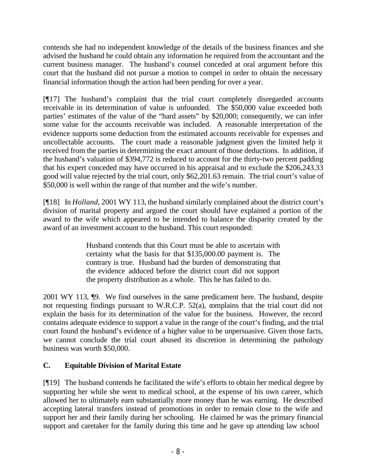contends she had no independent knowledge of the details of the business finances and she advised the husband he could obtain any information he required from the accountant and the current business manager. The husband's counsel conceded at oral argument before this court that the husband did not pursue a motion to compel in order to obtain the necessary financial information though the action had been pending for over a year.

[¶17] The husband's complaint that the trial court completely disregarded accounts receivable in its determination of value is unfounded. The \$50,000 value exceeded both parties' estimates of the value of the "hard assets" by \$20,000; consequently, we can infer some value for the accounts receivable was included. A reasonable interpretation of the evidence supports some deduction from the estimated accounts receivable for expenses and uncollectable accounts. The court made a reasonable judgment given the limited help it received from the parties in determining the exact amount of those deductions. In addition, if the husband's valuation of \$394,772 is reduced to account for the thirty-two percent padding that his expert conceded may have occurred in his appraisal and to exclude the \$206,243.33 good will value rejected by the trial court, only \$62,201.63 remain. The trial court's value of \$50,000 is well within the range of that number and the wife's number.

[¶18] In *Holland*, 2001 WY 113, the husband similarly complained about the district court's division of marital property and argued the court should have explained a portion of the award to the wife which appeared to be intended to balance the disparity created by the award of an investment account to the husband. This court responded:

> Husband contends that this Court must be able to ascertain with certainty what the basis for that \$135,000.00 payment is. The contrary is true. Husband had the burden of demonstrating that the evidence adduced before the district court did not support the property distribution as a whole. This he has failed to do.

2001 WY 113, ¶9. We find ourselves in the same predicament here. The husband, despite not requesting findings pursuant to W.R.C.P. 52(a), complains that the trial court did not explain the basis for its determination of the value for the business. However, the record contains adequate evidence to support a value in the range of the court's finding, and the trial court found the husband's evidence of a higher value to be unpersuasive. Given those facts, we cannot conclude the trial court abused its discretion in determining the pathology business was worth \$50,000.

# **C. Equitable Division of Marital Estate**

[¶19] The husband contends he facilitated the wife's efforts to obtain her medical degree by supporting her while she went to medical school, at the expense of his own career, which allowed her to ultimately earn substantially more money than he was earning. He described accepting lateral transfers instead of promotions in order to remain close to the wife and support her and their family during her schooling. He claimed he was the primary financial support and caretaker for the family during this time and he gave up attending law school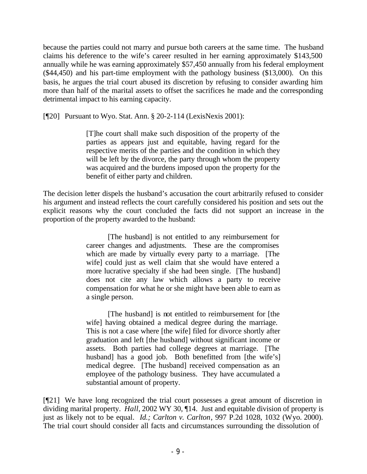because the parties could not marry and pursue both careers at the same time. The husband claims his deference to the wife's career resulted in her earning approximately \$143,500 annually while he was earning approximately \$57,450 annually from his federal employment (\$44,450) and his part-time employment with the pathology business (\$13,000). On this basis, he argues the trial court abused its discretion by refusing to consider awarding him more than half of the marital assets to offset the sacrifices he made and the corresponding detrimental impact to his earning capacity.

[¶20] Pursuant to Wyo. Stat. Ann. § 20-2-114 (LexisNexis 2001):

[T]he court shall make such disposition of the property of the parties as appears just and equitable, having regard for the respective merits of the parties and the condition in which they will be left by the divorce, the party through whom the property was acquired and the burdens imposed upon the property for the benefit of either party and children.

The decision letter dispels the husband's accusation the court arbitrarily refused to consider his argument and instead reflects the court carefully considered his position and sets out the explicit reasons why the court concluded the facts did not support an increase in the proportion of the property awarded to the husband:

> [The husband] is not entitled to any reimbursement for career changes and adjustments. These are the compromises which are made by virtually every party to a marriage. [The wife] could just as well claim that she would have entered a more lucrative specialty if she had been single. [The husband] does not cite any law which allows a party to receive compensation for what he or she might have been able to earn as a single person.

> [The husband] is not entitled to reimbursement for [the wife] having obtained a medical degree during the marriage. This is not a case where [the wife] filed for divorce shortly after graduation and left [the husband] without significant income or assets. Both parties had college degrees at marriage. [The husband] has a good job. Both benefitted from [the wife's] medical degree. [The husband] received compensation as an employee of the pathology business. They have accumulated a substantial amount of property.

[¶21] We have long recognized the trial court possesses a great amount of discretion in dividing marital property. *Hall*, 2002 WY 30, ¶14. Just and equitable division of property is just as likely not to be equal. *Id.; Carlton v. Carlton*, 997 P.2d 1028, 1032 (Wyo. 2000). The trial court should consider all facts and circumstances surrounding the dissolution of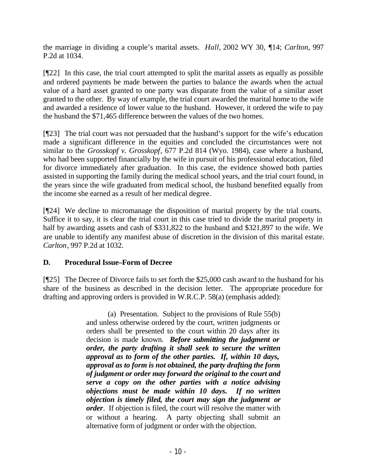the marriage in dividing a couple's marital assets. *Hall,* 2002 WY 30, ¶14; *Carlton*, 997 P.2d at 1034.

[¶22] In this case, the trial court attempted to split the marital assets as equally as possible and ordered payments be made between the parties to balance the awards when the actual value of a hard asset granted to one party was disparate from the value of a similar asset granted to the other. By way of example, the trial court awarded the marital home to the wife and awarded a residence of lower value to the husband. However, it ordered the wife to pay the husband the \$71,465 difference between the values of the two homes.

[¶23] The trial court was not persuaded that the husband's support for the wife's education made a significant difference in the equities and concluded the circumstances were not similar to the *Grosskopf v. Grosskopf*, 677 P.2d 814 (Wyo. 1984), case where a husband, who had been supported financially by the wife in pursuit of his professional education, filed for divorce immediately after graduation. In this case, the evidence showed both parties assisted in supporting the family during the medical school years, and the trial court found, in the years since the wife graduated from medical school, the husband benefited equally from the income she earned as a result of her medical degree.

[¶24] We decline to micromanage the disposition of marital property by the trial courts. Suffice it to say, it is clear the trial court in this case tried to divide the marital property in half by awarding assets and cash of \$331,822 to the husband and \$321,897 to the wife. We are unable to identify any manifest abuse of discretion in the division of this marital estate. *Carlton*, 997 P.2d at 1032.

# **D. Procedural Issue–Form of Decree**

[¶25] The Decree of Divorce fails to set forth the \$25,000 cash award to the husband for his share of the business as described in the decision letter. The appropriate procedure for drafting and approving orders is provided in W.R.C.P. 58(a) (emphasis added):

> (a) Presentation. Subject to the provisions of Rule 55(b) and unless otherwise ordered by the court, written judgments or orders shall be presented to the court within 20 days after its decision is made known. *Before submitting the judgment or order, the party drafting it shall seek to secure the written approval as to form of the other parties. If, within 10 days, approval as to form is not obtained, the party drafting the form of judgment or order may forward the original to the court and serve a copy on the other parties with a notice advising objections must be made within 10 days. If no written objection is timely filed, the court may sign the judgment or order.* If objection is filed, the court will resolve the matter with or without a hearing. A party objecting shall submit an alternative form of judgment or order with the objection.